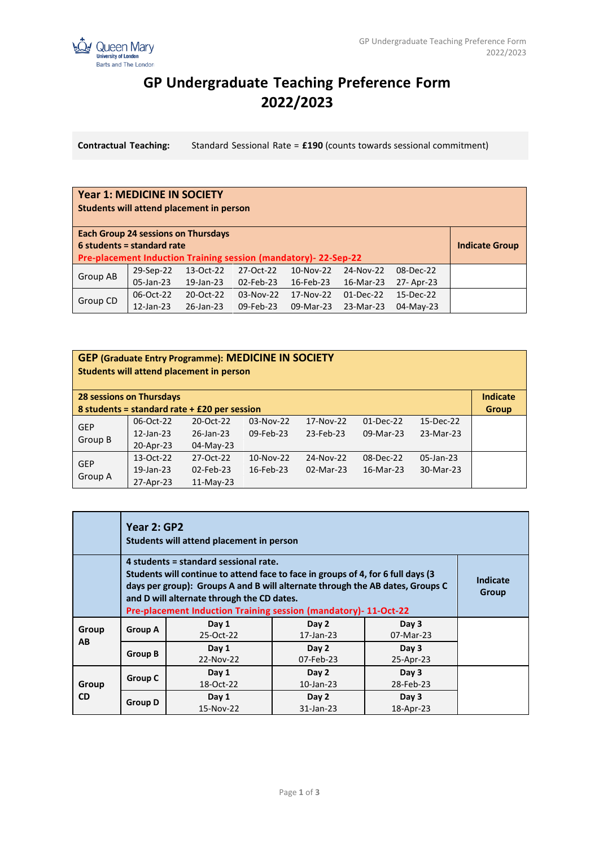

## **GP Undergraduate Teaching Preference Form 2022/2023**

**Contractual Teaching:** Standard Sessional Rate = **£190** (counts towards sessional commitment)

## **Year 1: MEDICINE IN SOCIETY Students will attend placement in person**

| <b>Each Group 24 sessions on Thursdays</b>                            |           |           |           |           |             |           |                       |
|-----------------------------------------------------------------------|-----------|-----------|-----------|-----------|-------------|-----------|-----------------------|
| $6$ students = standard rate                                          |           |           |           |           |             |           | <b>Indicate Group</b> |
| <b>Pre-placement Induction Training session (mandatory)-22-Sep-22</b> |           |           |           |           |             |           |                       |
| Group AB                                                              | 29-Sep-22 | 13-Oct-22 | 27-Oct-22 | 10-Nov-22 | 24-Nov-22   | 08-Dec-22 |                       |
|                                                                       | 05-Jan-23 | 19-Jan-23 | 02-Feb-23 | 16-Feb-23 | 16-Mar-23   | 27-Apr-23 |                       |
| Group CD                                                              | 06-Oct-22 | 20-Oct-22 | 03-Nov-22 | 17-Nov-22 | $01-Dec-22$ | 15-Dec-22 |                       |
|                                                                       | 12-Jan-23 | 26-Jan-23 | 09-Feb-23 | 09-Mar-23 | 23-Mar-23   | 04-May-23 |                       |

## **GEP (Graduate Entry Programme): MEDICINE IN SOCIETY Students will attend placement in person**

| <b>28 sessions on Thursdays</b>                |              |                 |           |           |             |           | Indicate     |
|------------------------------------------------|--------------|-----------------|-----------|-----------|-------------|-----------|--------------|
| 8 students = standard rate + $£20$ per session |              |                 |           |           |             |           | <b>Group</b> |
| <b>GEP</b>                                     | 06-Oct-22    | 20-Oct-22       | 03-Nov-22 | 17-Nov-22 | $01-Dec-22$ | 15-Dec-22 |              |
| Group B                                        | $12$ -Jan-23 | $26$ -Jan- $23$ | 09-Feb-23 | 23-Feb-23 | 09-Mar-23   | 23-Mar-23 |              |
|                                                | 20-Apr-23    | 04-May-23       |           |           |             |           |              |
| <b>GEP</b>                                     | 13-Oct-22    | 27-Oct-22       | 10-Nov-22 | 24-Nov-22 | 08-Dec-22   | 05-Jan-23 |              |
| Group A                                        | 19-Jan-23    | 02-Feb-23       | 16-Feb-23 | 02-Mar-23 | 16-Mar-23   | 30-Mar-23 |              |
|                                                | 27-Apr-23    | $11-Mav-23$     |           |           |             |           |              |

|                    | Year 2: GP2<br>Students will attend placement in person                                                                                                                                                                                                                                                                      |                    |                       |                    |  |  |  |
|--------------------|------------------------------------------------------------------------------------------------------------------------------------------------------------------------------------------------------------------------------------------------------------------------------------------------------------------------------|--------------------|-----------------------|--------------------|--|--|--|
|                    | 4 students = standard sessional rate.<br>Students will continue to attend face to face in groups of 4, for 6 full days (3)<br>days per group): Groups A and B will alternate through the AB dates, Groups C<br>and D will alternate through the CD dates.<br>Pre-placement Induction Training session (mandatory)- 11-Oct-22 |                    |                       |                    |  |  |  |
| Group<br>AB.       | <b>Group A</b>                                                                                                                                                                                                                                                                                                               | Day 1<br>25-Oct-22 | Day 2<br>17-Jan-23    | Day 3<br>07-Mar-23 |  |  |  |
|                    | <b>Group B</b>                                                                                                                                                                                                                                                                                                               | Day 1<br>22-Nov-22 | Day 2<br>07-Feb-23    | Day 3<br>25-Apr-23 |  |  |  |
| Group<br><b>CD</b> | Group C                                                                                                                                                                                                                                                                                                                      | Day 1<br>18-Oct-22 | Day 2<br>$10$ -Jan-23 | Day 3<br>28-Feb-23 |  |  |  |
|                    | <b>Group D</b>                                                                                                                                                                                                                                                                                                               | Day 1<br>15-Nov-22 | Day 2<br>31-Jan-23    | Day 3<br>18-Apr-23 |  |  |  |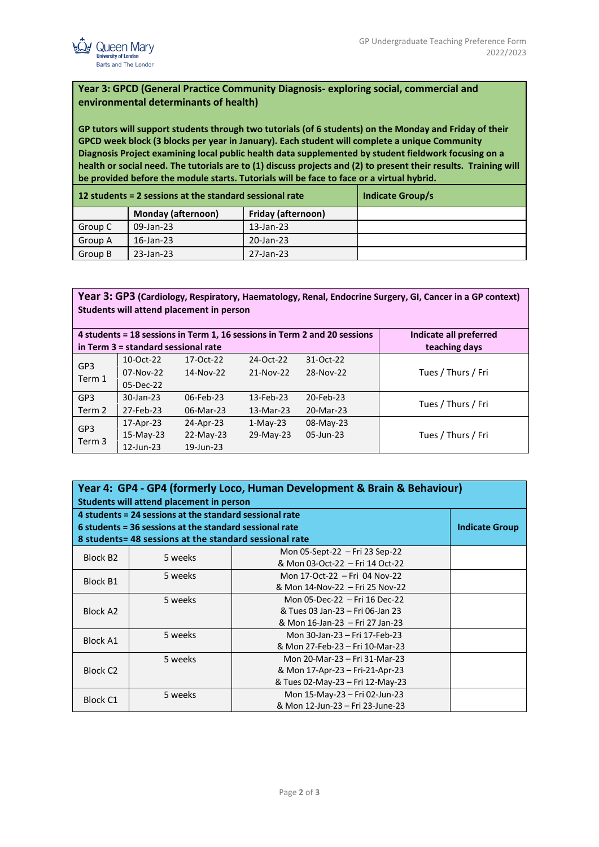

## **Year 3: GPCD (General Practice Community Diagnosis- exploring social, commercial and environmental determinants of health)**

**GP tutors will support students through two tutorials (of 6 students) on the Monday and Friday of their GPCD week block (3 blocks per year in January). Each student will complete a unique Community Diagnosis Project examining local public health data supplemented by student fieldwork focusing on a health or social need. The tutorials are to (1) discuss projects and (2) to present their results. Training will be provided before the module starts. Tutorials will be face to face or a virtual hybrid.**

|         | 12 students = 2 sessions at the standard sessional rate | Indicate Group/s   |  |
|---------|---------------------------------------------------------|--------------------|--|
|         | <b>Monday (afternoon)</b>                               | Friday (afternoon) |  |
| Group C | 09-Jan-23                                               | $13$ -Jan-23       |  |
| Group A | $16$ -Jan-23                                            | 20-Jan-23          |  |
| Group B | $23$ -Jan-23                                            | 27-Jan-23          |  |

**Year 3: GP3 (Cardiology, Respiratory, Haematology, Renal, Endocrine Surgery, GI, Cancer in a GP context) Students will attend placement in person**

| Indicate all preferred<br>4 students = 18 sessions in Term 1, 16 sessions in Term 2 and 20 sessions<br>in Term 3 = standard sessional rate<br>teaching days |                          |                        |                        |                        |                    |  |
|-------------------------------------------------------------------------------------------------------------------------------------------------------------|--------------------------|------------------------|------------------------|------------------------|--------------------|--|
| GP <sub>3</sub>                                                                                                                                             | 10-Oct-22<br>$07-Nov-22$ | 17-Oct-22<br>14-Nov-22 | 24-Oct-22<br>21-Nov-22 | 31-Oct-22<br>28-Nov-22 | Tues / Thurs / Fri |  |
| Term 1                                                                                                                                                      | 05-Dec-22                |                        |                        |                        |                    |  |
| GP <sub>3</sub>                                                                                                                                             | 30-Jan-23                | 06-Feb-23              | 13-Feb-23              | 20-Feb-23              | Tues / Thurs / Fri |  |
| Term 2                                                                                                                                                      | 27-Feb-23                | 06-Mar-23              | 13-Mar-23              | 20-Mar-23              |                    |  |
| GP <sub>3</sub>                                                                                                                                             | 17-Apr-23                | 24-Apr-23              | $1-Mav-23$             | 08-May-23              |                    |  |
|                                                                                                                                                             | $15-Mav-23$              | $22-Mav-23$            | 29-May-23              | 05-Jun-23              | Tues / Thurs / Fri |  |
| Term 3                                                                                                                                                      | 12-Jun-23                | 19-Jun-23              |                        |                        |                    |  |

| Year 4: GP4 - GP4 (formerly Loco, Human Development & Brain & Behaviour) |                                                         |                                  |                       |  |  |  |  |
|--------------------------------------------------------------------------|---------------------------------------------------------|----------------------------------|-----------------------|--|--|--|--|
| Students will attend placement in person                                 |                                                         |                                  |                       |  |  |  |  |
| 4 students = 24 sessions at the standard sessional rate                  |                                                         |                                  |                       |  |  |  |  |
|                                                                          | 6 students = 36 sessions at the standard sessional rate |                                  | <b>Indicate Group</b> |  |  |  |  |
|                                                                          | 8 students= 48 sessions at the standard sessional rate  |                                  |                       |  |  |  |  |
| Block B <sub>2</sub>                                                     | 5 weeks                                                 | Mon 05-Sept-22 - Fri 23 Sep-22   |                       |  |  |  |  |
|                                                                          |                                                         | & Mon 03-Oct-22 - Fri 14 Oct-22  |                       |  |  |  |  |
| <b>Block B1</b>                                                          | 5 weeks                                                 | Mon 17-Oct-22 - Fri 04 Nov-22    |                       |  |  |  |  |
|                                                                          |                                                         | & Mon 14-Nov-22 - Fri 25 Nov-22  |                       |  |  |  |  |
|                                                                          | 5 weeks                                                 | Mon 05-Dec-22 - Fri 16 Dec-22    |                       |  |  |  |  |
| Block A2                                                                 |                                                         | & Tues 03 Jan-23 – Fri 06-Jan 23 |                       |  |  |  |  |
|                                                                          |                                                         | & Mon 16-Jan-23 – Fri 27 Jan-23  |                       |  |  |  |  |
| <b>Block A1</b>                                                          | 5 weeks                                                 | Mon 30-Jan-23 - Fri 17-Feb-23    |                       |  |  |  |  |
|                                                                          |                                                         | & Mon 27-Feb-23 - Fri 10-Mar-23  |                       |  |  |  |  |
|                                                                          | 5 weeks                                                 | Mon 20-Mar-23 - Fri 31-Mar-23    |                       |  |  |  |  |
| Block C <sub>2</sub>                                                     |                                                         | & Mon 17-Apr-23 – Fri-21-Apr-23  |                       |  |  |  |  |
|                                                                          |                                                         | & Tues 02-May-23 – Fri 12-May-23 |                       |  |  |  |  |
| <b>Block C1</b>                                                          | 5 weeks                                                 | Mon 15-May-23 - Fri 02-Jun-23    |                       |  |  |  |  |
|                                                                          |                                                         | & Mon 12-Jun-23 – Fri 23-June-23 |                       |  |  |  |  |